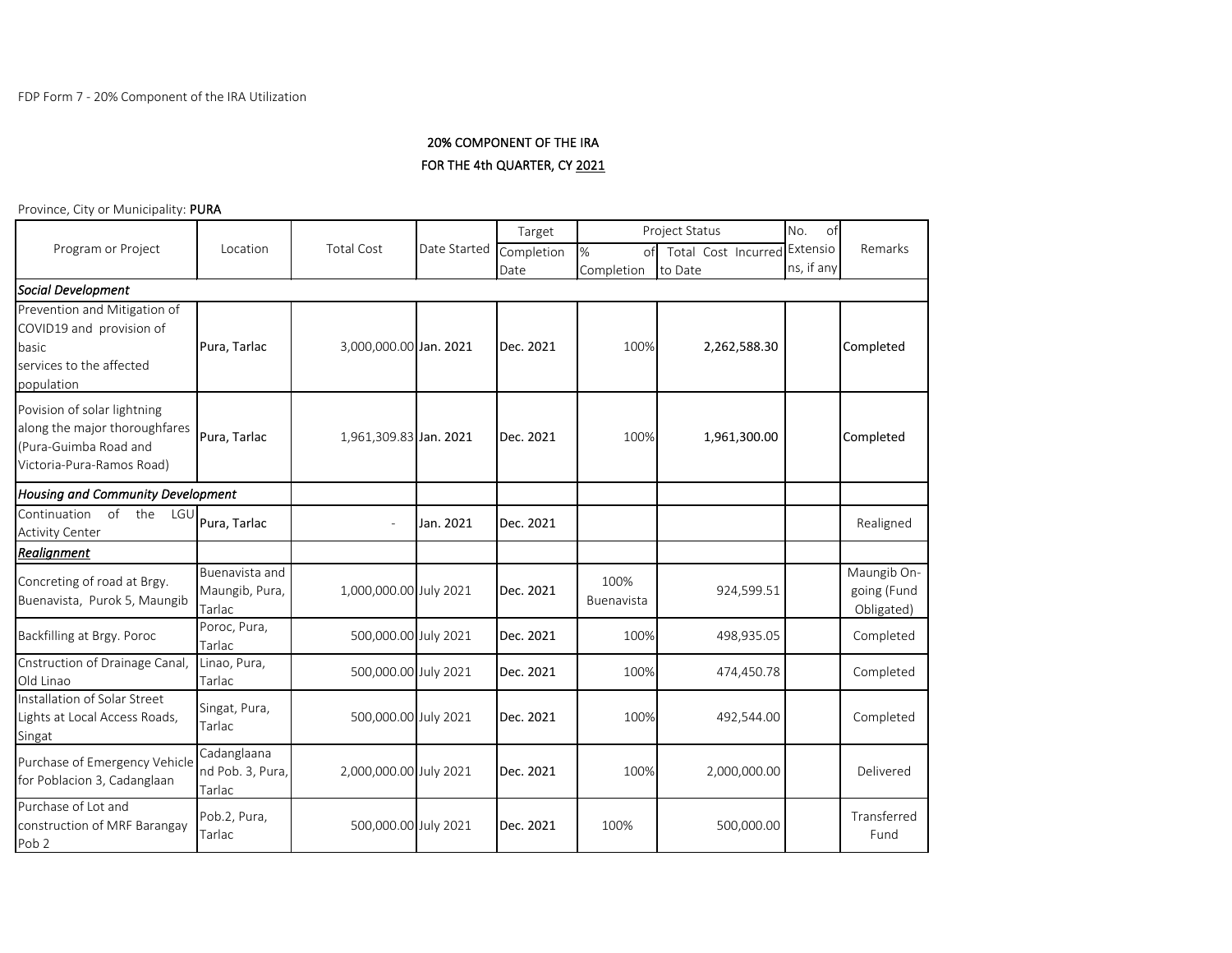## 20% COMPONENT OF THE IRA FOR THE 4th QUARTER, CY 2021

Province, City or Municipality: PURA

| rovince, eny or ividincipanty. <b>Forv</b>                                                                         |                                            |                        |              |                    |                       |                                |                        |                                          |  |
|--------------------------------------------------------------------------------------------------------------------|--------------------------------------------|------------------------|--------------|--------------------|-----------------------|--------------------------------|------------------------|------------------------------------------|--|
|                                                                                                                    |                                            |                        |              | Target             |                       | <b>Project Status</b>          | No.<br>οf              |                                          |  |
| Program or Project                                                                                                 | Location                                   | <b>Total Cost</b>      | Date Started | Completion<br>Date | %<br>of<br>Completion | Total Cost Incurred<br>to Date | Extensio<br>ns, if any | Remarks                                  |  |
| Social Development                                                                                                 |                                            |                        |              |                    |                       |                                |                        |                                          |  |
| Prevention and Mitigation of<br>COVID19 and provision of<br>basic<br>services to the affected<br>population        | Pura, Tarlac                               | 3,000,000.00 Jan. 2021 |              | Dec. 2021          | 100%                  | 2,262,588.30                   |                        | Completed                                |  |
| Povision of solar lightning<br>along the major thoroughfares<br>(Pura-Guimba Road and<br>Victoria-Pura-Ramos Road) | Pura, Tarlac                               | 1,961,309.83 Jan. 2021 |              | Dec. 2021          | 100%                  | 1,961,300.00                   |                        | Completed                                |  |
| <b>Housing and Community Development</b>                                                                           |                                            |                        |              |                    |                       |                                |                        |                                          |  |
| Continuation<br>of the<br>LGU<br><b>Activity Center</b>                                                            | Pura, Tarlac                               |                        | Jan. 2021    | Dec. 2021          |                       |                                |                        | Realigned                                |  |
| <b>Realignment</b>                                                                                                 |                                            |                        |              |                    |                       |                                |                        |                                          |  |
| Concreting of road at Brgy.<br>Buenavista, Purok 5, Maungib                                                        | Buenavista and<br>Maungib, Pura,<br>Tarlac | 1,000,000.00 July 2021 |              | Dec. 2021          | 100%<br>Buenavista    | 924,599.51                     |                        | Maungib On-<br>going (Fund<br>Obligated) |  |
| Backfilling at Brgy. Poroc                                                                                         | Poroc, Pura,<br>Tarlac                     | 500,000.00 July 2021   |              | Dec. 2021          | 100%                  | 498,935.05                     |                        | Completed                                |  |
| Cnstruction of Drainage Canal,<br>Old Linao                                                                        | Linao, Pura,<br>Tarlac                     | 500,000.00 July 2021   |              | Dec. 2021          | 100%                  | 474,450.78                     |                        | Completed                                |  |
| Installation of Solar Street<br>Lights at Local Access Roads,<br>Singat                                            | Singat, Pura,<br>Tarlac                    | 500,000.00 July 2021   |              | Dec. 2021          | 100%                  | 492,544.00                     |                        | Completed                                |  |
| Purchase of Emergency Vehicle<br>for Poblacion 3, Cadanglaan                                                       | Cadanglaana<br>nd Pob. 3, Pura,<br>Tarlac  | 2,000,000.00 July 2021 |              | Dec. 2021          | 100%                  | 2,000,000.00                   |                        | Delivered                                |  |
| Purchase of Lot and<br>construction of MRF Barangay<br>Pob <sub>2</sub>                                            | Pob.2, Pura,<br>Tarlac                     | 500,000.00 July 2021   |              | Dec. 2021          | 100%                  | 500,000.00                     |                        | Transferred<br>Fund                      |  |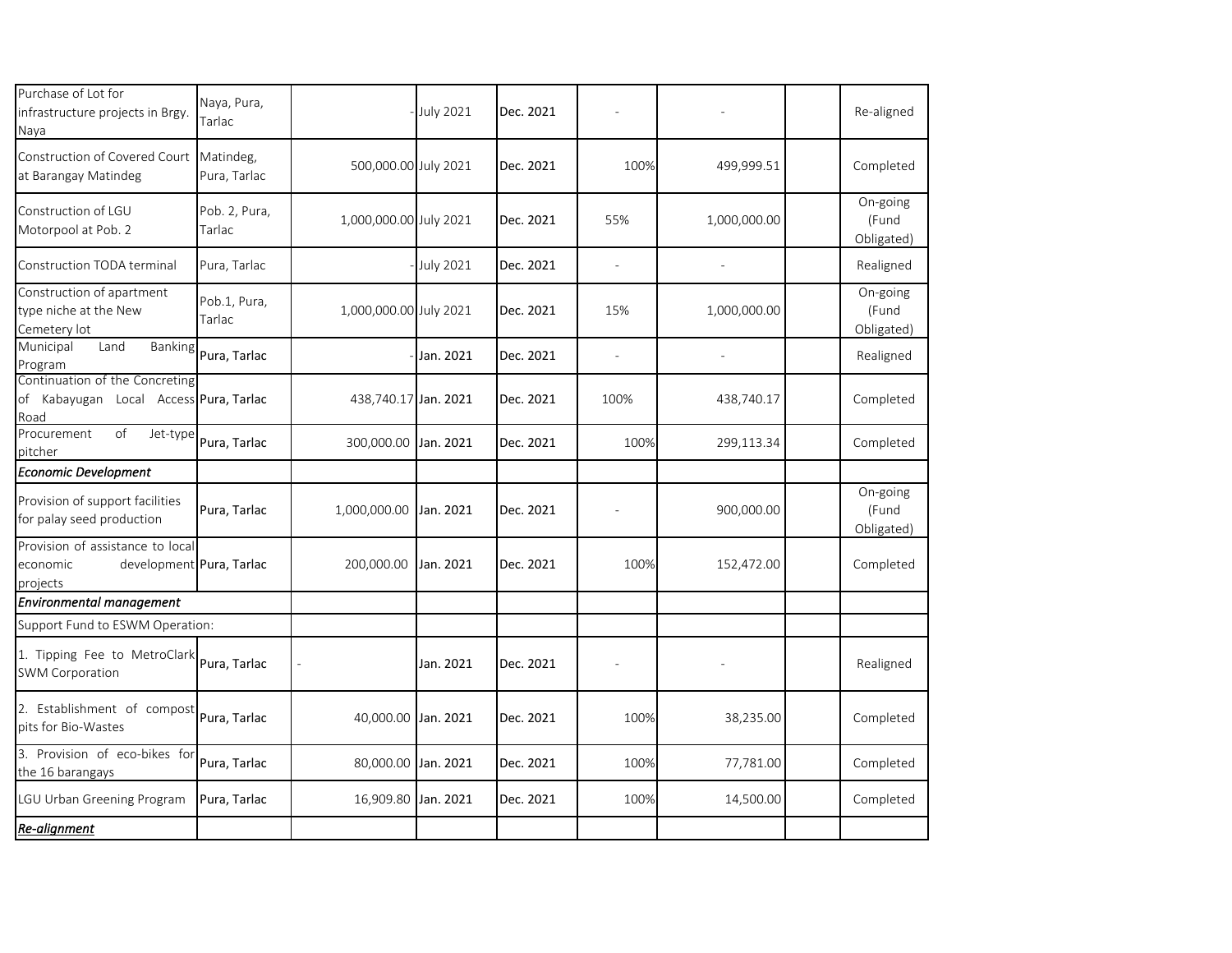| Purchase of Lot for<br>infrastructure projects in Brgy.<br>Naya                      | Naya, Pura,<br>Tarlac     |                        | <b>July 2021</b> | Dec. 2021 |                |              |  | Re-aligned                      |
|--------------------------------------------------------------------------------------|---------------------------|------------------------|------------------|-----------|----------------|--------------|--|---------------------------------|
| Construction of Covered Court<br>at Barangay Matindeg                                | Matindeg,<br>Pura, Tarlac | 500,000.00 July 2021   |                  | Dec. 2021 | 100%           | 499,999.51   |  | Completed                       |
| Construction of LGU<br>Motorpool at Pob. 2                                           | Pob. 2, Pura,<br>Tarlac   | 1,000,000.00 July 2021 |                  | Dec. 2021 | 55%            | 1,000,000.00 |  | On-going<br>(Fund<br>Obligated) |
| Construction TODA terminal                                                           | Pura, Tarlac              |                        | July 2021        | Dec. 2021 | L,             |              |  | Realigned                       |
| Construction of apartment<br>type niche at the New<br>Cemetery lot                   | Pob.1, Pura,<br>Tarlac    | 1,000,000.00 July 2021 |                  | Dec. 2021 | 15%            | 1,000,000.00 |  | On-going<br>(Fund<br>Obligated) |
| Municipal<br>Land<br><b>Banking</b><br>Program                                       | Pura, Tarlac              |                        | Jan. 2021        | Dec. 2021 | $\overline{a}$ |              |  | Realigned                       |
| Continuation of the Concreting<br>of Kabayugan Local Access Pura, Tarlac<br>Road     |                           | 438,740.17 Jan. 2021   |                  | Dec. 2021 | 100%           | 438,740.17   |  | Completed                       |
| Procurement<br>of<br>Jet-type<br>pitcher                                             | Pura, Tarlac              | 300,000.00             | Jan. 2021        | Dec. 2021 | 100%           | 299,113.34   |  | Completed                       |
| Economic Development                                                                 |                           |                        |                  |           |                |              |  |                                 |
| Provision of support facilities<br>for palay seed production                         | Pura, Tarlac              | 1,000,000.00           | Jan. 2021        | Dec. 2021 |                | 900,000.00   |  | On-going<br>(Fund<br>Obligated) |
| Provision of assistance to local<br>development Pura, Tarlac<br>economic<br>projects |                           | 200,000.00             | Jan. 2021        | Dec. 2021 | 100%           | 152,472.00   |  | Completed                       |
| Environmental management                                                             |                           |                        |                  |           |                |              |  |                                 |
| Support Fund to ESWM Operation:                                                      |                           |                        |                  |           |                |              |  |                                 |
| 1. Tipping Fee to MetroClark<br>SWM Corporation                                      | Pura, Tarlac              |                        | Jan. 2021        | Dec. 2021 |                |              |  | Realigned                       |
| 2. Establishment of compost<br>pits for Bio-Wastes                                   | Pura, Tarlac              | 40,000.00              | Jan. 2021        | Dec. 2021 | 100%           | 38,235.00    |  | Completed                       |
| 3. Provision of eco-bikes for<br>the 16 barangays                                    | Pura, Tarlac              | 80,000.00 Jan. 2021    |                  | Dec. 2021 | 100%           | 77,781.00    |  | Completed                       |
| LGU Urban Greening Program                                                           | Pura, Tarlac              | 16,909.80              | Jan. 2021        | Dec. 2021 | 100%           | 14,500.00    |  | Completed                       |
| Re-alignment                                                                         |                           |                        |                  |           |                |              |  |                                 |